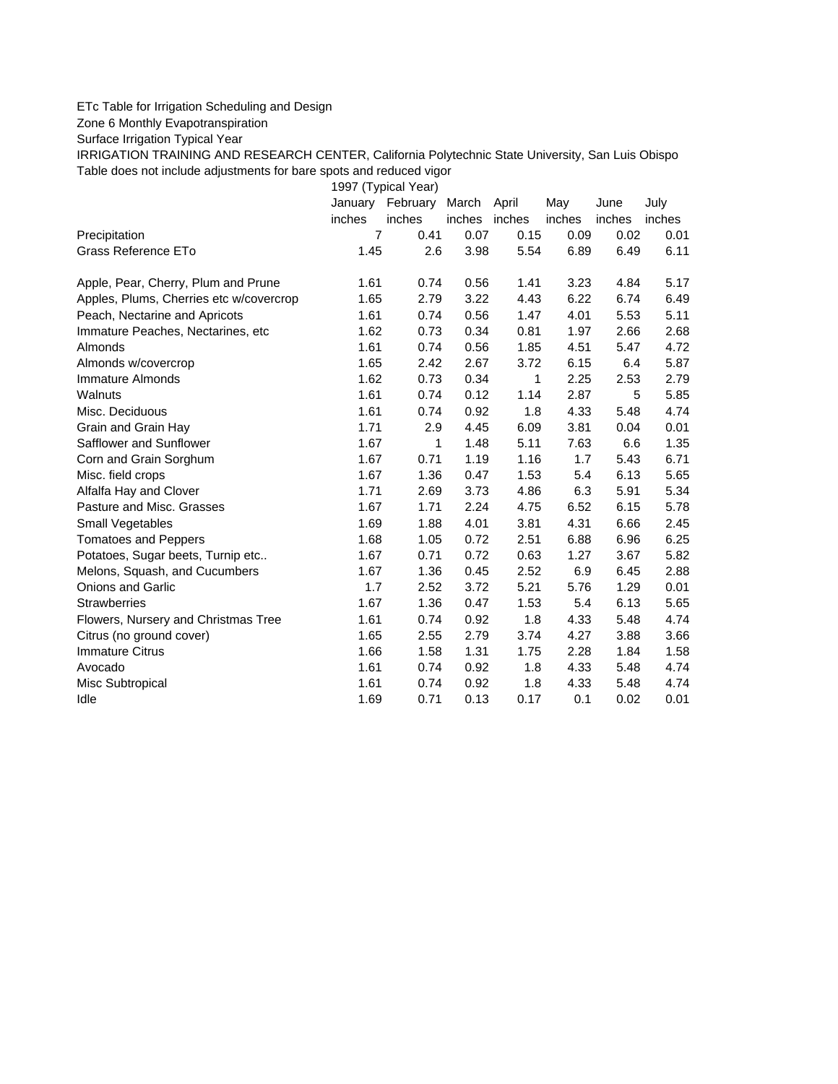## ETc Table for Irrigation Scheduling and Design

Zone 6 Monthly Evapotranspiration

Surface Irrigation Typical Year

IRRIGATION TRAINING AND RESEARCH CENTER, California Polytechnic State University, San Luis Obispo Table does not include adjustments for bare spots and reduced vigor

1997 (Typical Year)

|                                         | January        | February | March  | April        | May    | June   | July   |
|-----------------------------------------|----------------|----------|--------|--------------|--------|--------|--------|
|                                         | inches         | inches   | inches | inches       | inches | inches | inches |
| Precipitation                           | $\overline{7}$ | 0.41     | 0.07   | 0.15         | 0.09   | 0.02   | 0.01   |
| Grass Reference ETo                     | 1.45           | 2.6      | 3.98   | 5.54         | 6.89   | 6.49   | 6.11   |
| Apple, Pear, Cherry, Plum and Prune     | 1.61           | 0.74     | 0.56   | 1.41         | 3.23   | 4.84   | 5.17   |
| Apples, Plums, Cherries etc w/covercrop | 1.65           | 2.79     | 3.22   | 4.43         | 6.22   | 6.74   | 6.49   |
| Peach, Nectarine and Apricots           | 1.61           | 0.74     | 0.56   | 1.47         | 4.01   | 5.53   | 5.11   |
| Immature Peaches, Nectarines, etc       | 1.62           | 0.73     | 0.34   | 0.81         | 1.97   | 2.66   | 2.68   |
| Almonds                                 | 1.61           | 0.74     | 0.56   | 1.85         | 4.51   | 5.47   | 4.72   |
| Almonds w/covercrop                     | 1.65           | 2.42     | 2.67   | 3.72         | 6.15   | 6.4    | 5.87   |
| Immature Almonds                        | 1.62           | 0.73     | 0.34   | $\mathbf{1}$ | 2.25   | 2.53   | 2.79   |
| Walnuts                                 | 1.61           | 0.74     | 0.12   | 1.14         | 2.87   | 5      | 5.85   |
| Misc. Deciduous                         | 1.61           | 0.74     | 0.92   | 1.8          | 4.33   | 5.48   | 4.74   |
| Grain and Grain Hay                     | 1.71           | 2.9      | 4.45   | 6.09         | 3.81   | 0.04   | 0.01   |
| Safflower and Sunflower                 | 1.67           | 1        | 1.48   | 5.11         | 7.63   | 6.6    | 1.35   |
| Corn and Grain Sorghum                  | 1.67           | 0.71     | 1.19   | 1.16         | 1.7    | 5.43   | 6.71   |
| Misc. field crops                       | 1.67           | 1.36     | 0.47   | 1.53         | 5.4    | 6.13   | 5.65   |
| Alfalfa Hay and Clover                  | 1.71           | 2.69     | 3.73   | 4.86         | 6.3    | 5.91   | 5.34   |
| Pasture and Misc. Grasses               | 1.67           | 1.71     | 2.24   | 4.75         | 6.52   | 6.15   | 5.78   |
| Small Vegetables                        | 1.69           | 1.88     | 4.01   | 3.81         | 4.31   | 6.66   | 2.45   |
| <b>Tomatoes and Peppers</b>             | 1.68           | 1.05     | 0.72   | 2.51         | 6.88   | 6.96   | 6.25   |
| Potatoes, Sugar beets, Turnip etc       | 1.67           | 0.71     | 0.72   | 0.63         | 1.27   | 3.67   | 5.82   |
| Melons, Squash, and Cucumbers           | 1.67           | 1.36     | 0.45   | 2.52         | 6.9    | 6.45   | 2.88   |
| <b>Onions and Garlic</b>                | 1.7            | 2.52     | 3.72   | 5.21         | 5.76   | 1.29   | 0.01   |
| <b>Strawberries</b>                     | 1.67           | 1.36     | 0.47   | 1.53         | 5.4    | 6.13   | 5.65   |
| Flowers, Nursery and Christmas Tree     | 1.61           | 0.74     | 0.92   | 1.8          | 4.33   | 5.48   | 4.74   |
| Citrus (no ground cover)                | 1.65           | 2.55     | 2.79   | 3.74         | 4.27   | 3.88   | 3.66   |
| <b>Immature Citrus</b>                  | 1.66           | 1.58     | 1.31   | 1.75         | 2.28   | 1.84   | 1.58   |
| Avocado                                 | 1.61           | 0.74     | 0.92   | 1.8          | 4.33   | 5.48   | 4.74   |
| Misc Subtropical                        | 1.61           | 0.74     | 0.92   | 1.8          | 4.33   | 5.48   | 4.74   |
| Idle                                    | 1.69           | 0.71     | 0.13   | 0.17         | 0.1    | 0.02   | 0.01   |